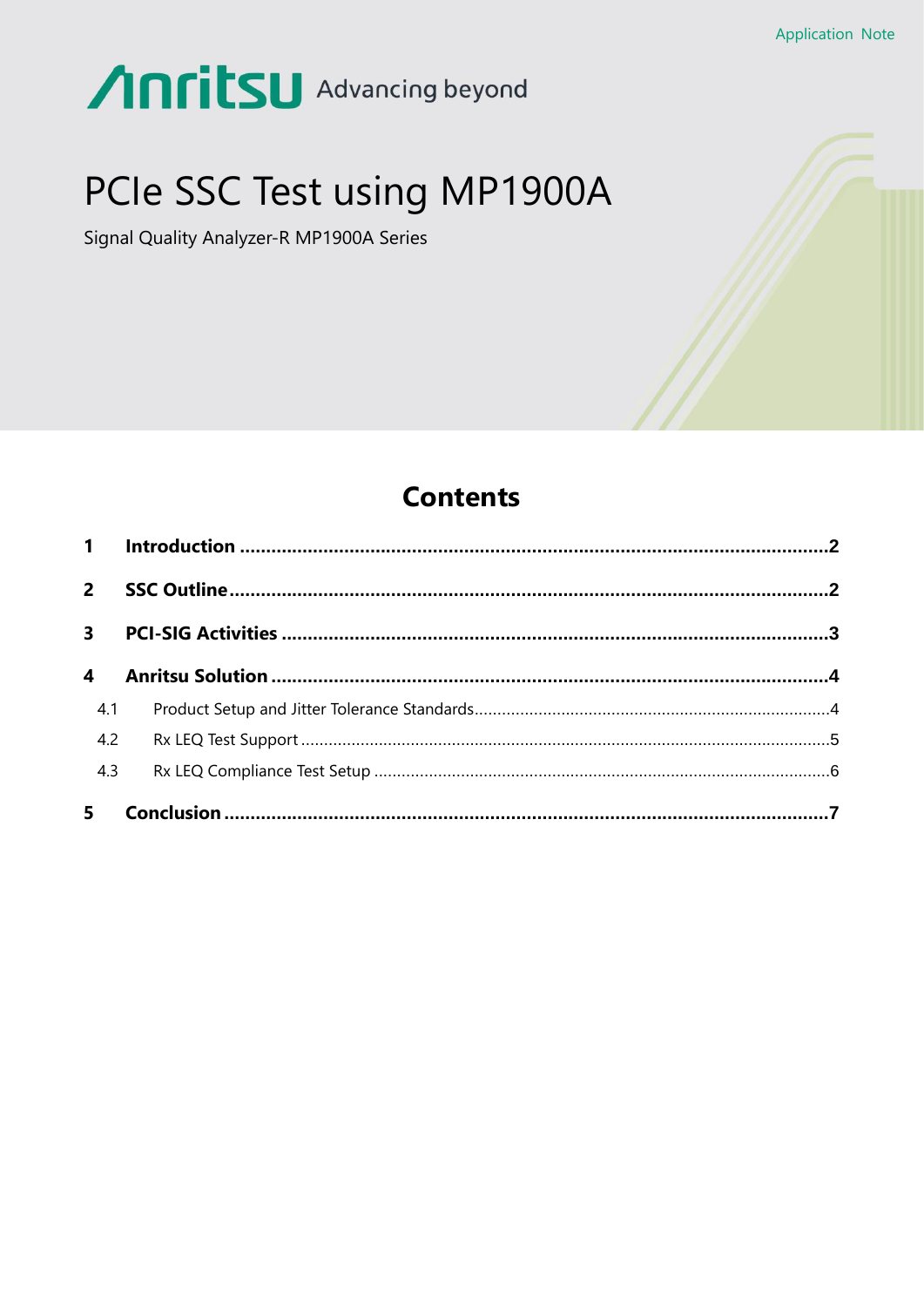# **Anritsu** Advancing beyond

# PCIe SSC Test using MP1900A

Signal Quality Analyzer-R MP1900A Series



| $2^{\circ}$            |  |
|------------------------|--|
|                        |  |
| $\boldsymbol{\Lambda}$ |  |
| 4.1                    |  |
| 4.2                    |  |
| 4.3                    |  |
| 5 <sub>1</sub>         |  |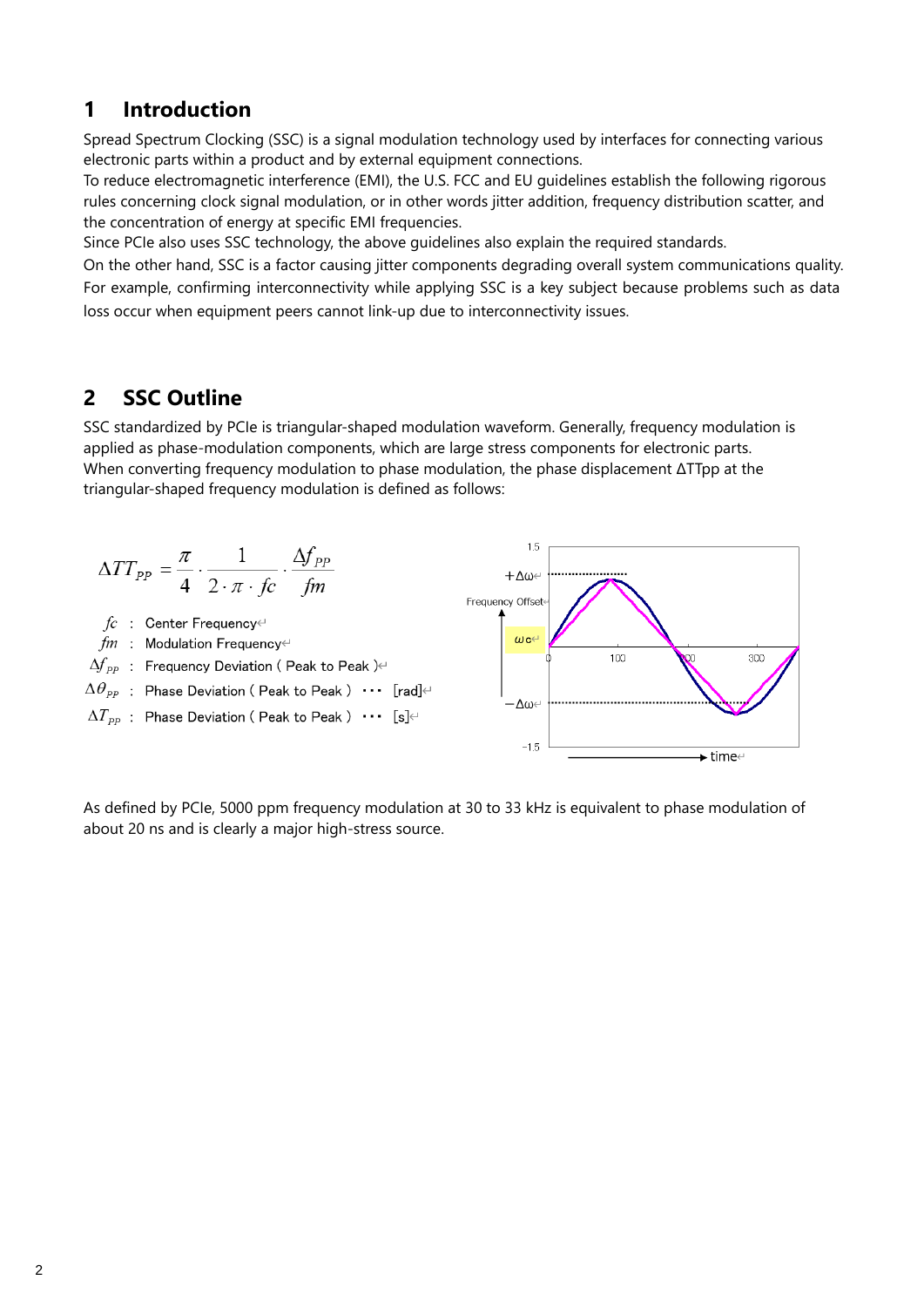## <span id="page-1-0"></span>**1 Introduction**

Spread Spectrum Clocking (SSC) is a signal modulation technology used by interfaces for connecting various electronic parts within a product and by external equipment connections.

To reduce electromagnetic interference (EMI), the U.S. FCC and EU guidelines establish the following rigorous rules concerning clock signal modulation, or in other words jitter addition, frequency distribution scatter, and the concentration of energy at specific EMI frequencies.

Since PCIe also uses SSC technology, the above guidelines also explain the required standards.

On the other hand, SSC is a factor causing jitter components degrading overall system communications quality. For example, confirming interconnectivity while applying SSC is a key subject because problems such as data loss occur when equipment peers cannot link-up due to interconnectivity issues.

## <span id="page-1-1"></span>**2 SSC Outline**

SSC standardized by PCIe is triangular-shaped modulation waveform. Generally, frequency modulation is applied as phase-modulation components, which are large stress components for electronic parts. When converting frequency modulation to phase modulation, the phase displacement ΔTTpp at the triangular-shaped frequency modulation is defined as follows:



As defined by PCIe, 5000 ppm frequency modulation at 30 to 33 kHz is equivalent to phase modulation of about 20 ns and is clearly a major high-stress source.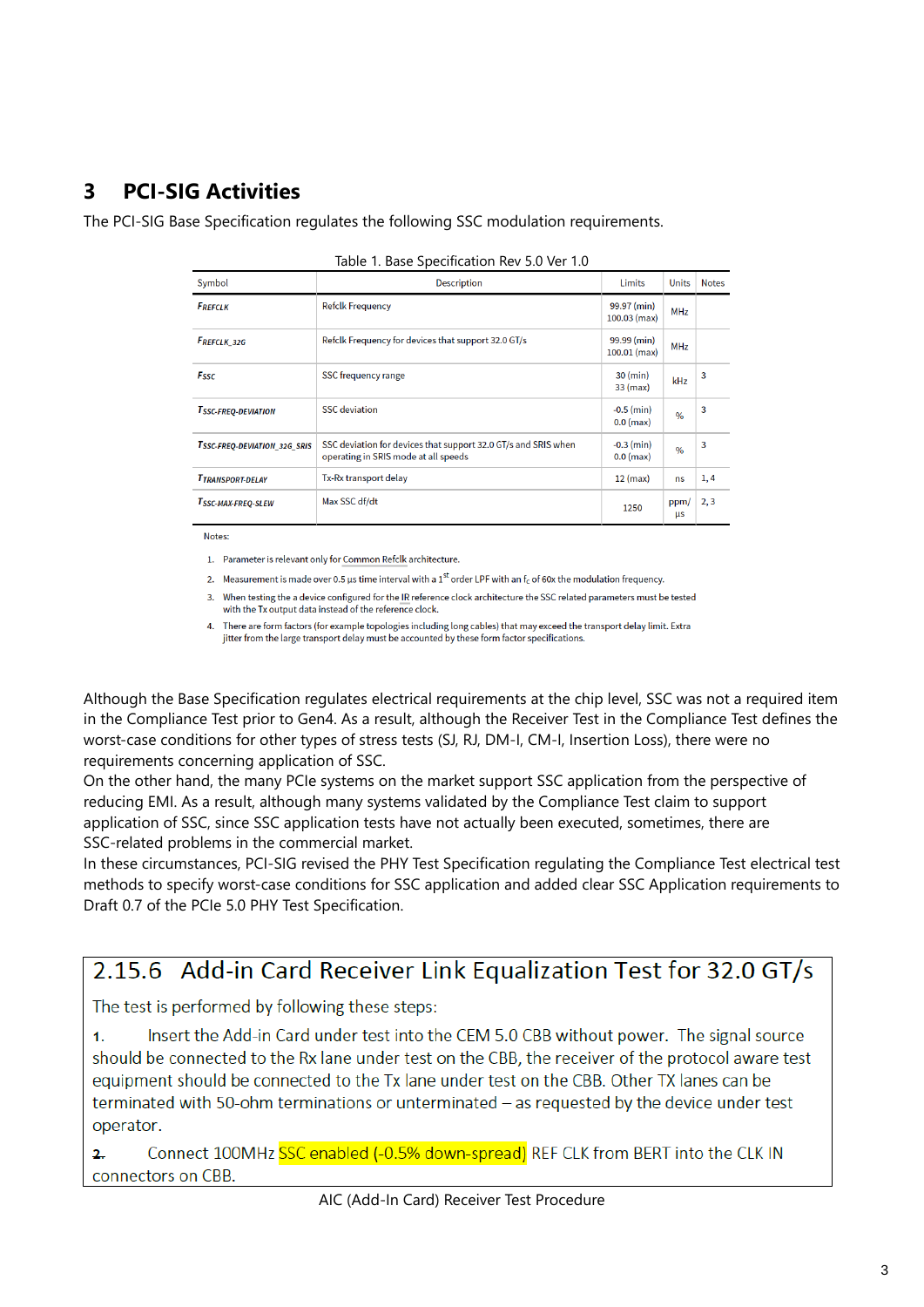## <span id="page-2-0"></span>**3 PCI-SIG Activities**

The PCI-SIG Base Specification regulates the following SSC modulation requirements.

| Symbol                       | <b>Description</b>                                                                                     | <b>Limits</b>                  | <b>Units</b>  | <b>Notes</b> |
|------------------------------|--------------------------------------------------------------------------------------------------------|--------------------------------|---------------|--------------|
| <b>FREFCLK</b>               | <b>Refclk Frequency</b>                                                                                | 99.97 (min)<br>$100.03$ (max)  | <b>MHz</b>    |              |
| <b>FREFCLK 32G</b>           | Refclk Frequency for devices that support 32.0 GT/s                                                    | 99.99 (min)<br>$100.01$ (max)  | <b>MHz</b>    |              |
| <b>Fssc</b>                  | SSC frequency range                                                                                    | $30 \text{ (min)}$<br>33 (max) | kHz           | 3            |
| <b>TSSC-FREO-DEVIATION</b>   | <b>SSC</b> deviation                                                                                   | $-0.5$ (min)<br>$0.0$ (max)    | $\frac{0}{0}$ | 3            |
| TSSC-FREO-DEVIATION 32G SRIS | SSC deviation for devices that support 32.0 GT/s and SRIS when<br>operating in SRIS mode at all speeds | $-0.3$ (min)<br>$0.0$ (max)    | $\frac{0}{0}$ | 3            |
| <b>TTRANSPORT-DELAY</b>      | Tx-Rx transport delay                                                                                  | $12$ (max)                     | <b>ns</b>     | 1, 4         |
| TSSC-MAX-FREQ-SLEW           | Max SSC df/dt                                                                                          | 1250                           | ppm/<br>μs    | 2, 3         |

|  |  | Table 1. Base Specification Rev 5.0 Ver 1.0 |  |  |  |  |
|--|--|---------------------------------------------|--|--|--|--|
|--|--|---------------------------------------------|--|--|--|--|

Notes:

1. Parameter is relevant only for Common Refclk architecture.

2. Measurement is made over 0.5 µs time interval with a 1<sup>st</sup> order LPF with an f<sub>c</sub> of 60x the modulation frequency.

3. When testing the a device configured for the IR reference clock architecture the SSC related parameters must be tested with the Tx output data instead of the reference clock.

4. There are form factors (for example topologies including long cables) that may exceed the transport delay limit. Extra jitter from the large transport delay must be accounted by these form factor specifications.

Although the Base Specification regulates electrical requirements at the chip level, SSC was not a required item in the Compliance Test prior to Gen4. As a result, although the Receiver Test in the Compliance Test defines the worst-case conditions for other types of stress tests (SJ, RJ, DM-I, CM-I, Insertion Loss), there were no requirements concerning application of SSC.

On the other hand, the many PCIe systems on the market support SSC application from the perspective of reducing EMI. As a result, although many systems validated by the Compliance Test claim to support application of SSC, since SSC application tests have not actually been executed, sometimes, there are SSC-related problems in the commercial market.

In these circumstances, PCI-SIG revised the PHY Test Specification regulating the Compliance Test electrical test methods to specify worst-case conditions for SSC application and added clear SSC Application requirements to Draft 0.7 of the PCIe 5.0 PHY Test Specification.

# 2.15.6 Add-in Card Receiver Link Equalization Test for 32.0 GT/s

The test is performed by following these steps:

Insert the Add-in Card under test into the CEM 5.0 CBB without power. The signal source  $\mathbf{1}$ should be connected to the Rx lane under test on the CBB, the receiver of the protocol aware test equipment should be connected to the Tx lane under test on the CBB. Other TX lanes can be terminated with 50-ohm terminations or unterminated - as requested by the device under test operator.

Connect 100MHz SSC enabled (-0.5% down-spread) REF CLK from BERT into the CLK IN  $\overline{2}$ connectors on CBB.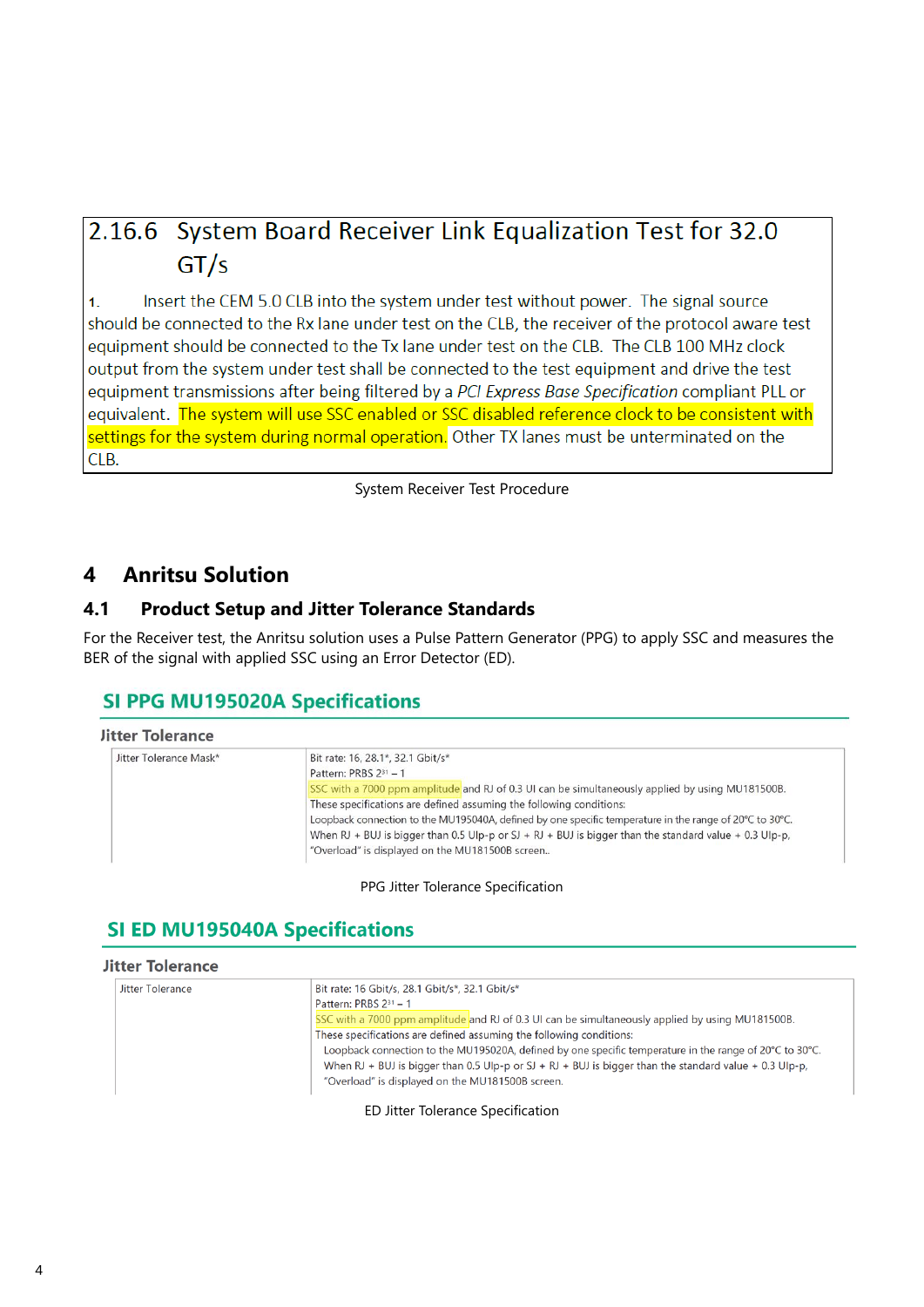# 2.16.6 System Board Receiver Link Equalization Test for 32.0  $GT/s$

Insert the CEM 5.0 CLB into the system under test without power. The signal source  $\mathbf{1}$ . should be connected to the Rx lane under test on the CLB, the receiver of the protocol aware test equipment should be connected to the Tx lane under test on the CLB. The CLB 100 MHz clock output from the system under test shall be connected to the test equipment and drive the test equipment transmissions after being filtered by a PCI Express Base Specification compliant PLL or equivalent. The system will use SSC enabled or SSC disabled reference clock to be consistent with settings for the system during normal operation. Other TX lanes must be unterminated on the CLB.

System Receiver Test Procedure

## <span id="page-3-0"></span>**4 Anritsu Solution**

## <span id="page-3-1"></span>**4.1 Product Setup and Jitter Tolerance Standards**

For the Receiver test, the Anritsu solution uses a Pulse Pattern Generator (PPG) to apply SSC and measures the BER of the signal with applied SSC using an Error Detector (ED).

## **SI PPG MU195020A Specifications**

| Jitter Tolerance Mask* | Bit rate: 16, 28.1*, 32.1 Gbit/s*                                                                       |
|------------------------|---------------------------------------------------------------------------------------------------------|
|                        | Pattern: PRBS 231 - 1                                                                                   |
|                        | SSC with a 7000 ppm amplitude and RJ of 0.3 UI can be simultaneously applied by using MU181500B.        |
|                        | These specifications are defined assuming the following conditions:                                     |
|                        | Loopback connection to the MU195040A, defined by one specific temperature in the range of 20°C to 30°C. |
|                        | When RJ + BUJ is bigger than 0.5 Ulp-p or SJ + RJ + BUJ is bigger than the standard value + 0.3 Ulp-p,  |
|                        | "Overload" is displayed on the MU181500B screen                                                         |

## PPG Jitter Tolerance Specification

## **SI ED MU195040A Specifications**

| <b>Jitter Tolerance</b> |                                                                                                                                                                                                                                                                                                                                                                                                                                                                                                                                   |
|-------------------------|-----------------------------------------------------------------------------------------------------------------------------------------------------------------------------------------------------------------------------------------------------------------------------------------------------------------------------------------------------------------------------------------------------------------------------------------------------------------------------------------------------------------------------------|
| Jitter Tolerance        | Bit rate: 16 Gbit/s, 28.1 Gbit/s*, 32.1 Gbit/s*<br>Pattern: PRBS $2^{31} - 1$<br>SSC with a 7000 ppm amplitude and RJ of 0.3 UI can be simultaneously applied by using MU181500B.<br>These specifications are defined assuming the following conditions:<br>Loopback connection to the MU195020A, defined by one specific temperature in the range of 20°C to 30°C.<br>When RJ + BUJ is bigger than 0.5 Ulp-p or SJ + RJ + BUJ is bigger than the standard value + 0.3 Ulp-p,<br>"Overload" is displayed on the MU181500B screen. |

ED Jitter Tolerance Specification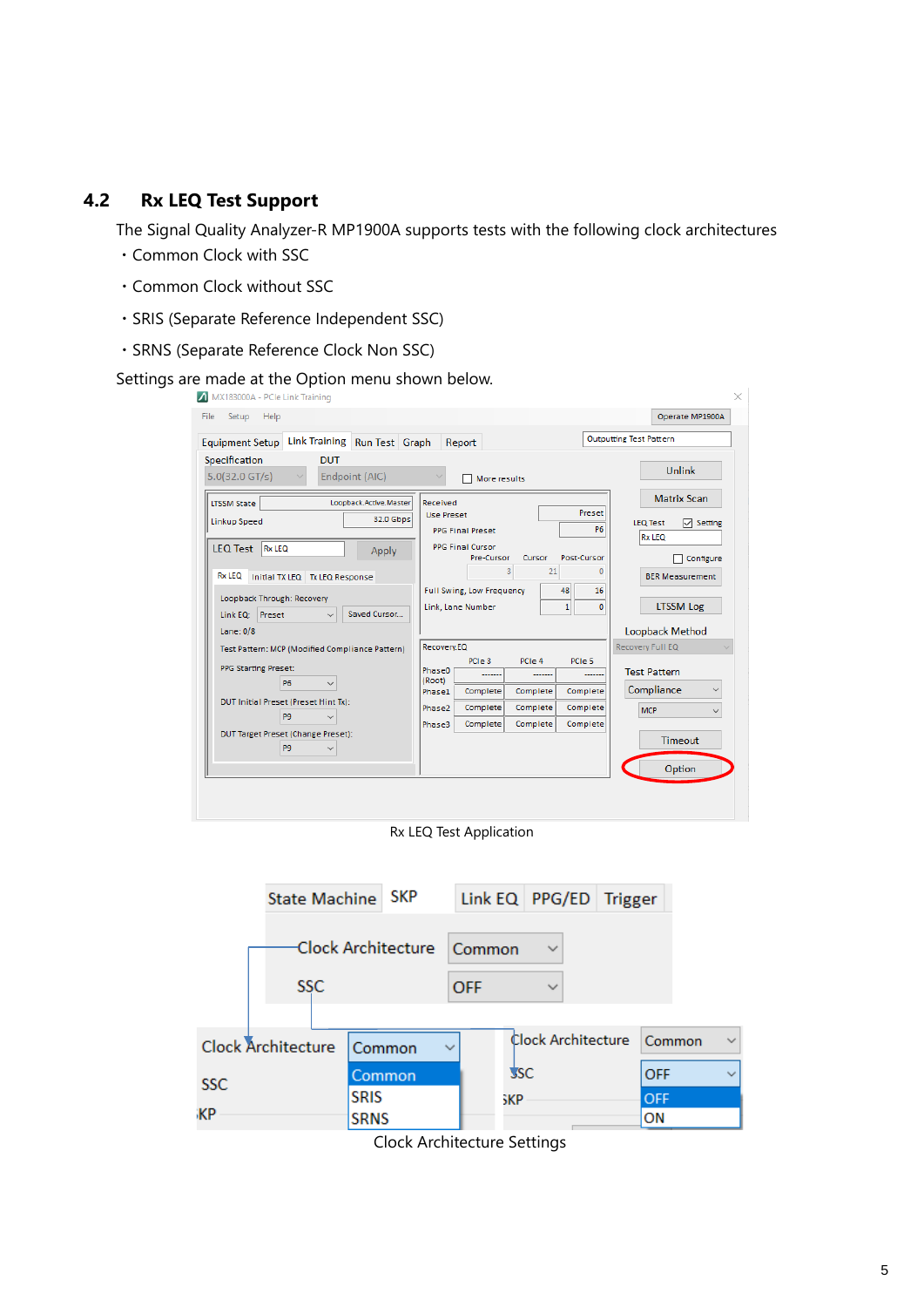## <span id="page-4-0"></span>**4.2 Rx LEQ Test Support**

The Signal Quality Analyzer-R MP1900A supports tests with the following clock architectures

- ・Common Clock with SSC
- ・Common Clock without SSC
- ・SRIS (Separate Reference Independent SSC)
- ・SRNS (Separate Reference Clock Non SSC)

## Settings are made at the Option menu shown below.

| Link Training Run Test Graph<br><b>Equipment Setup</b>                                                                                                                                                                                                                             | Report                                                                                                                                                                                                                                                     | <b>Outputting Test Pattern</b>                                                                                                                           |  |  |
|------------------------------------------------------------------------------------------------------------------------------------------------------------------------------------------------------------------------------------------------------------------------------------|------------------------------------------------------------------------------------------------------------------------------------------------------------------------------------------------------------------------------------------------------------|----------------------------------------------------------------------------------------------------------------------------------------------------------|--|--|
| Specification<br><b>DUT</b><br>$5.0(32.0$ GT/s)<br>Endpoint (AIC)                                                                                                                                                                                                                  | More results                                                                                                                                                                                                                                               | <b>Unlink</b>                                                                                                                                            |  |  |
| Loopback.Active.Master<br><b>LTSSM State</b><br><b>32.0 Gbps</b><br><b>Linkup Speed</b><br><b>LEQ Test</b><br>Rx LEQ<br>Apply<br><b>Rx LEQ</b><br>Initial TX LEQ   Tx LEQ Response<br>Loopback Through: Recovery<br>Link EQ: Preset<br>Saved Cursor<br>$\checkmark$<br>Lane: $0/8$ | Received<br>Preset<br><b>Use Preset</b><br><b>P6</b><br><b>PPG Final Preset</b><br><b>PPG Final Cursor</b><br>Post-Cursor<br>Pre-Cursor<br>Cursor<br>3<br>21<br>Full Swing, Low Frequency<br>48<br>16<br>Link, Lane Number<br>$\mathbf{1}$<br>$\mathbf{0}$ | <b>Matrix Scan</b><br>$\nabla$ Setting<br><b>LEQ Test</b><br><b>Rx LEQ</b><br>Configure<br><b>BER Measurement</b><br><b>LTSSM Log</b><br>Loopback Method |  |  |
| Test Pattern: MCP (Modified Compliance Pattern)<br><b>PPG Starting Preset:</b><br><b>P6</b><br>$\checkmark$<br>DUT Initial Preset (Preset Hint Tx):<br>P <sub>9</sub><br>DUT Target Preset (Change Preset):<br>P <sub>9</sub><br>$\checkmark$                                      | Recovery.EQ<br>PCIe 3<br>PCIe 4<br>PCIe 5<br>Phase <sub>0</sub><br>(Root)<br>Complete<br>Complete<br>Complete<br>Phase1<br>Complete<br>Complete<br>Complete<br>Phase2<br>Complete<br>Complete<br>Complete<br>Phase3                                        | Recovery Full EQ<br><b>Test Pattern</b><br>Compliance<br><b>MCP</b><br>$\checkmark$<br><b>Timeout</b><br>Option                                          |  |  |

 $\sim$  1

Rx LEQ Test Application

|                                        | State Machine SKP                       |                                                         |            |                    | Link EQ PPG/ED Trigger |                  |  |
|----------------------------------------|-----------------------------------------|---------------------------------------------------------|------------|--------------------|------------------------|------------------|--|
|                                        | Clock Architecture Common<br><b>SSC</b> |                                                         |            |                    | $\checkmark$           |                  |  |
|                                        |                                         |                                                         | <b>OFF</b> |                    | $\checkmark$           |                  |  |
| <b>Clock Architecture</b><br>Common    |                                         | $\checkmark$                                            |            | Clock Architecture | Common                 | $\checkmark$     |  |
| <b>SSC</b><br><b>SRIS</b><br><b>ЖР</b> |                                         | Common                                                  |            | <b>SSC</b>         |                        | <b>OFF</b>       |  |
|                                        |                                         | <b>SRNS</b>                                             |            | sКP                |                        | <b>OFF</b><br>ON |  |
|                                        |                                         | $C_1$ and $A_2$ and $A_3$ and $A_4$ and $A_5$ and $A_6$ |            |                    |                        |                  |  |

Clock Architecture Settings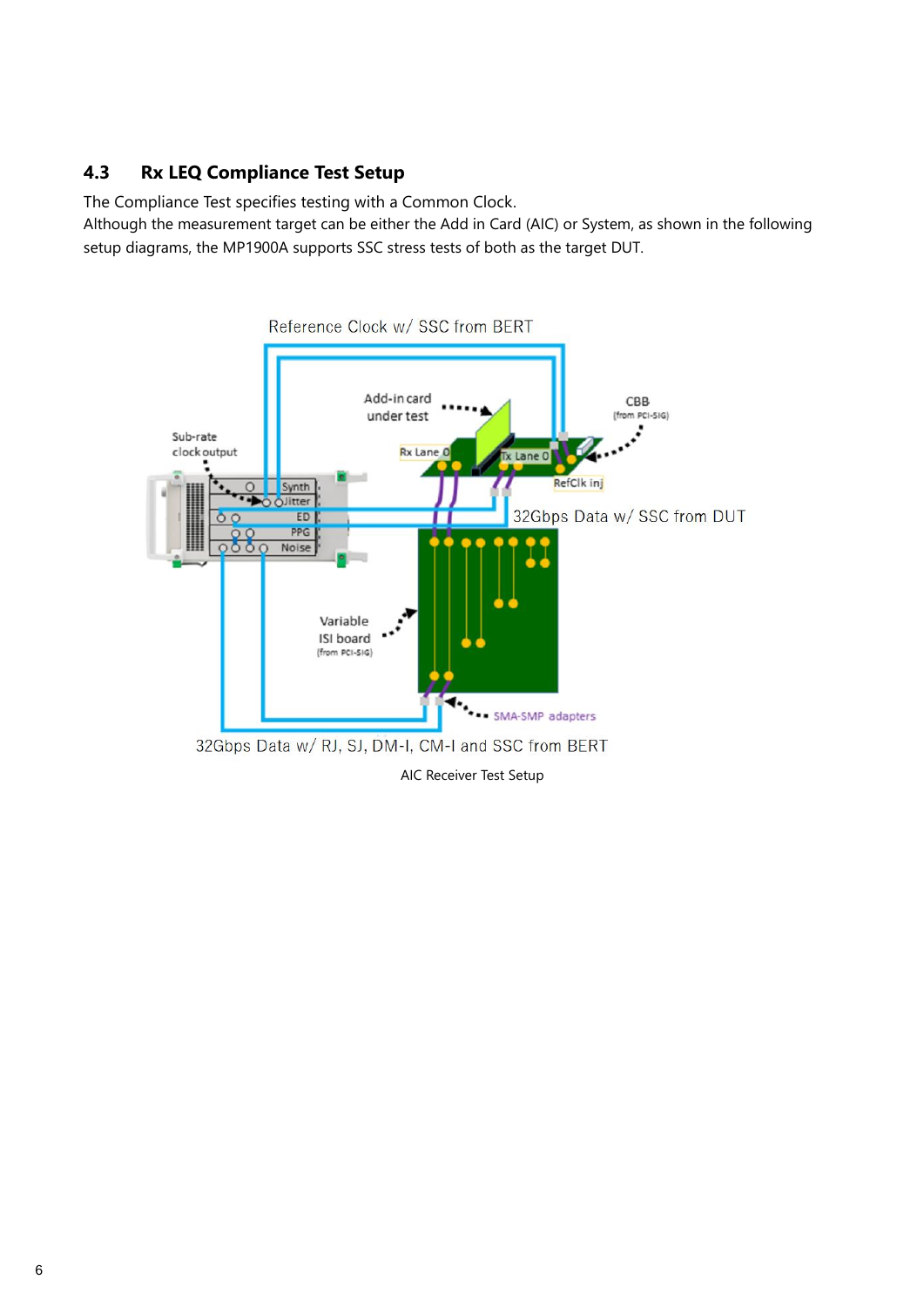## <span id="page-5-0"></span>**4.3 Rx LEQ Compliance Test Setup**

The Compliance Test specifies testing with a Common Clock.

Although the measurement target can be either the Add in Card (AIC) or System, as shown in the following setup diagrams, the MP1900A supports SSC stress tests of both as the target DUT.

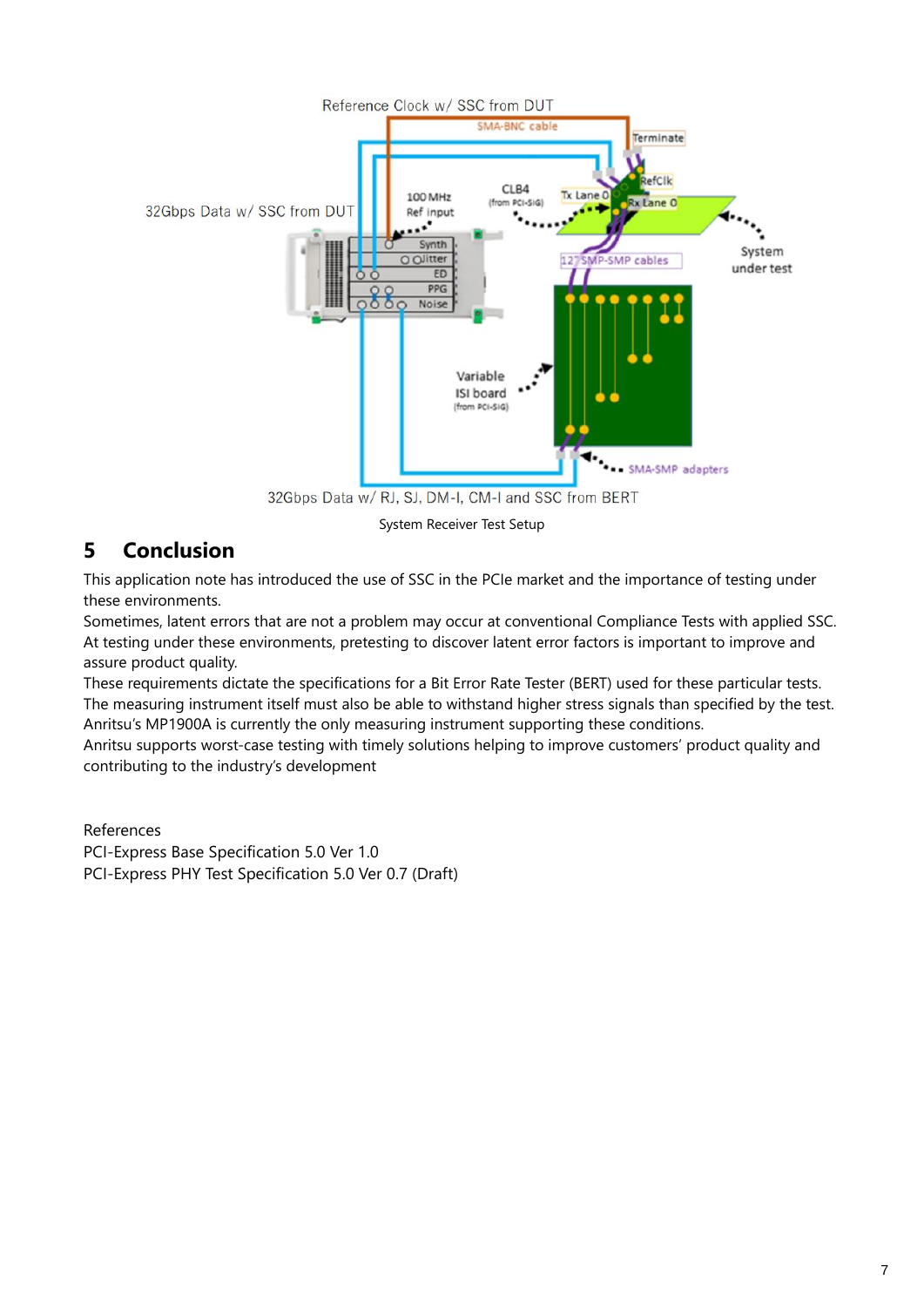

32Gbps Data w/ RJ, SJ, DM-I, CM-I and SSC from BERT

System Receiver Test Setup

## <span id="page-6-0"></span>**5 Conclusion**

This application note has introduced the use of SSC in the PCIe market and the importance of testing under these environments.

Sometimes, latent errors that are not a problem may occur at conventional Compliance Tests with applied SSC. At testing under these environments, pretesting to discover latent error factors is important to improve and assure product quality.

These requirements dictate the specifications for a Bit Error Rate Tester (BERT) used for these particular tests. The measuring instrument itself must also be able to withstand higher stress signals than specified by the test. Anritsu's MP1900A is currently the only measuring instrument supporting these conditions.

Anritsu supports worst-case testing with timely solutions helping to improve customers' product quality and contributing to the industry's development

References PCI-Express Base Specification 5.0 Ver 1.0 PCI-Express PHY Test Specification 5.0 Ver 0.7 (Draft)